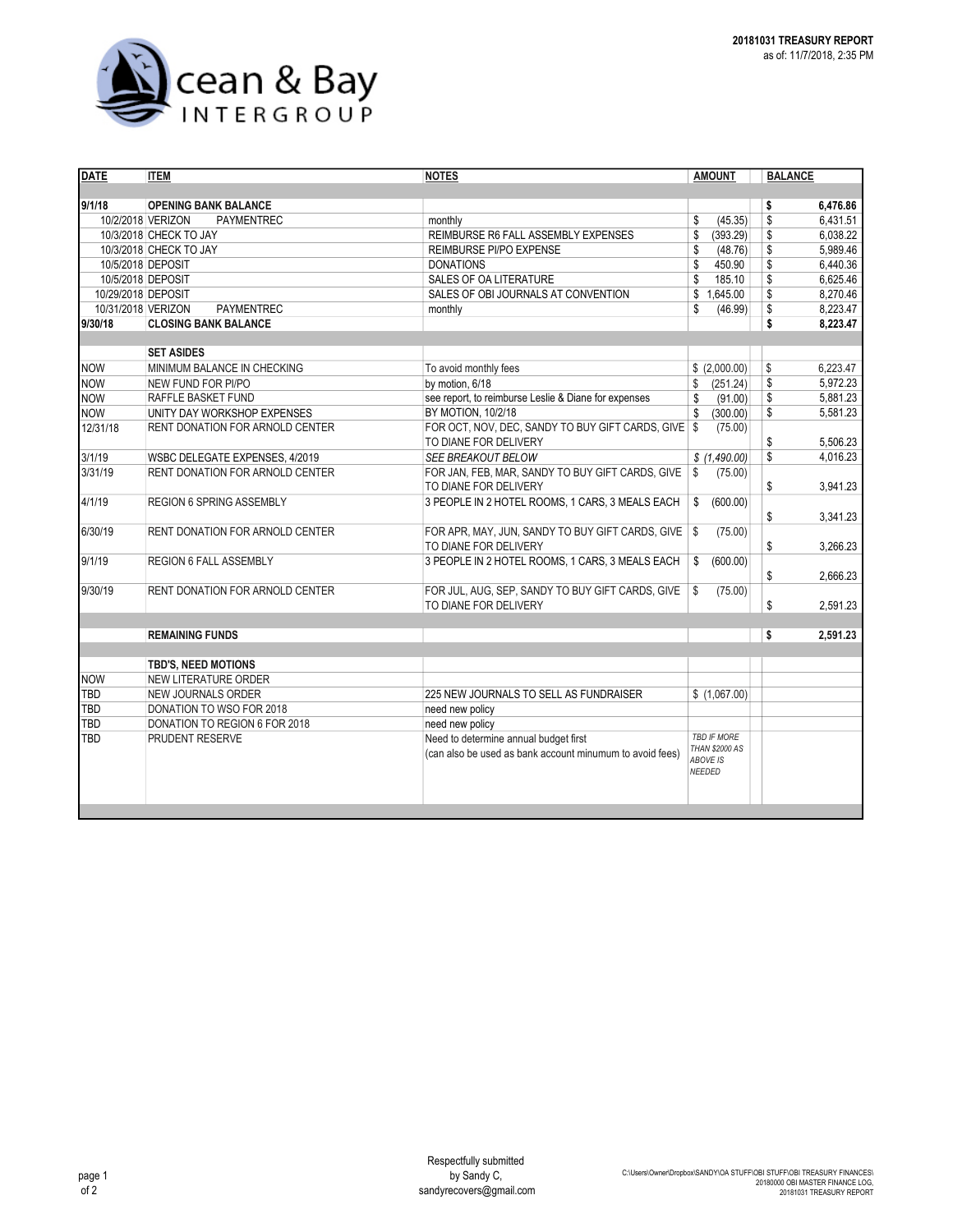

| <b>DATE</b>        | <b>ITEM</b>                            | <b>AMOUNT</b>                                                            | <b>BALANCE</b>                                     |    |          |
|--------------------|----------------------------------------|--------------------------------------------------------------------------|----------------------------------------------------|----|----------|
|                    |                                        |                                                                          |                                                    |    |          |
| 9/1/18             | <b>OPENING BANK BALANCE</b>            |                                                                          |                                                    | \$ | 6,476.86 |
|                    | 10/2/2018 VERIZON<br>PAYMENTREC        | monthly                                                                  | \$<br>(45.35)                                      | \$ | 6,431.51 |
|                    | 10/3/2018 CHECK TO JAY                 | REIMBURSE R6 FALL ASSEMBLY EXPENSES                                      | \$<br>(393.29)                                     | \$ | 6,038.22 |
|                    | 10/3/2018 CHECK TO JAY                 | REIMBURSE PI/PO EXPENSE                                                  | \$<br>(48.76)                                      | \$ | 5.989.46 |
| 10/5/2018 DEPOSIT  |                                        | <b>DONATIONS</b>                                                         | \$<br>450.90                                       | \$ | 6.440.36 |
| 10/5/2018 DEPOSIT  |                                        | <b>SALES OF OA LITERATURE</b>                                            | \$<br>185.10                                       | \$ | 6,625.46 |
| 10/29/2018 DEPOSIT |                                        | SALES OF OBI JOURNALS AT CONVENTION                                      | \$<br>1,645.00                                     | \$ | 8,270.46 |
| 10/31/2018 VERIZON | <b>PAYMENTREC</b>                      | monthly                                                                  | \$<br>(46.99)                                      | \$ | 8,223.47 |
| 9/30/18            | <b>CLOSING BANK BALANCE</b>            |                                                                          |                                                    | \$ | 8,223.47 |
|                    |                                        |                                                                          |                                                    |    |          |
|                    | <b>SET ASIDES</b>                      |                                                                          |                                                    |    |          |
| <b>NOW</b>         | MINIMUM BALANCE IN CHECKING            | To avoid monthly fees                                                    | \$(2,000.00)                                       | \$ | 6,223.47 |
| <b>NOW</b>         | NEW FUND FOR PI/PO                     | by motion. 6/18                                                          | \$<br>(251.24)                                     | \$ | 5,972.23 |
| <b>NOW</b>         | RAFFLE BASKET FUND                     | see report, to reimburse Leslie & Diane for expenses                     | \$<br>(91.00)                                      | \$ | 5,881.23 |
| <b>NOW</b>         | UNITY DAY WORKSHOP EXPENSES            | BY MOTION, 10/2/18                                                       | \$<br>(300.00)                                     | \$ | 5,581.23 |
| 12/31/18           | RENT DONATION FOR ARNOLD CENTER        | FOR OCT, NOV, DEC, SANDY TO BUY GIFT CARDS, GIVE \$                      | (75.00)                                            |    |          |
|                    |                                        | TO DIANE FOR DELIVERY                                                    |                                                    | \$ | 5,506.23 |
| 3/1/19             | WSBC DELEGATE EXPENSES, 4/2019         | SEE BREAKOUT BELOW                                                       | \$(1,490.00)                                       | \$ | 4,016.23 |
| 3/31/19            | RENT DONATION FOR ARNOLD CENTER        | FOR JAN, FEB, MAR, SANDY TO BUY GIFT CARDS, GIVE                         | (75.00)<br>\$                                      |    |          |
|                    |                                        | TO DIANE FOR DELIVERY                                                    |                                                    | \$ | 3,941.23 |
| 4/1/19             | <b>REGION 6 SPRING ASSEMBLY</b>        | 3 PEOPLE IN 2 HOTEL ROOMS, 1 CARS, 3 MEALS EACH                          | \$<br>(600.00)                                     | \$ | 3,341.23 |
| 6/30/19            | <b>RENT DONATION FOR ARNOLD CENTER</b> | FOR APR, MAY, JUN, SANDY TO BUY GIFT CARDS, GIVE   \$                    | (75.00)                                            |    |          |
| 9/1/19             | <b>REGION 6 FALL ASSEMBLY</b>          | TO DIANE FOR DELIVERY<br>3 PEOPLE IN 2 HOTEL ROOMS, 1 CARS, 3 MEALS EACH |                                                    | \$ | 3,266.23 |
|                    |                                        |                                                                          | \$<br>(600.00)                                     | \$ | 2,666.23 |
| 9/30/19            | RENT DONATION FOR ARNOLD CENTER        | FOR JUL, AUG, SEP, SANDY TO BUY GIFT CARDS, GIVE                         | \$<br>(75.00)                                      |    |          |
|                    |                                        | TO DIANE FOR DELIVERY                                                    |                                                    | \$ | 2,591.23 |
|                    |                                        |                                                                          |                                                    |    |          |
|                    | <b>REMAINING FUNDS</b>                 |                                                                          |                                                    | \$ | 2,591.23 |
|                    | <b>TBD'S, NEED MOTIONS</b>             |                                                                          |                                                    |    |          |
| <b>NOW</b>         | NEW LITERATURE ORDER                   |                                                                          |                                                    |    |          |
| TBD                | <b>NEW JOURNALS ORDER</b>              | 225 NEW JOURNALS TO SELL AS FUNDRAISER                                   | \$(1,067.00)                                       |    |          |
| TBD                | DONATION TO WSO FOR 2018               | need new policy                                                          |                                                    |    |          |
| TBD                | DONATION TO REGION 6 FOR 2018          | need new policy                                                          |                                                    |    |          |
| TBD                | PRUDENT RESERVE                        | <b>TBD IF MORE</b>                                                       |                                                    |    |          |
|                    |                                        | (can also be used as bank account minumum to avoid fees)                 | <b>THAN \$2000 AS</b><br><b>ABOVE IS</b><br>NEEDED |    |          |
|                    |                                        |                                                                          |                                                    |    |          |